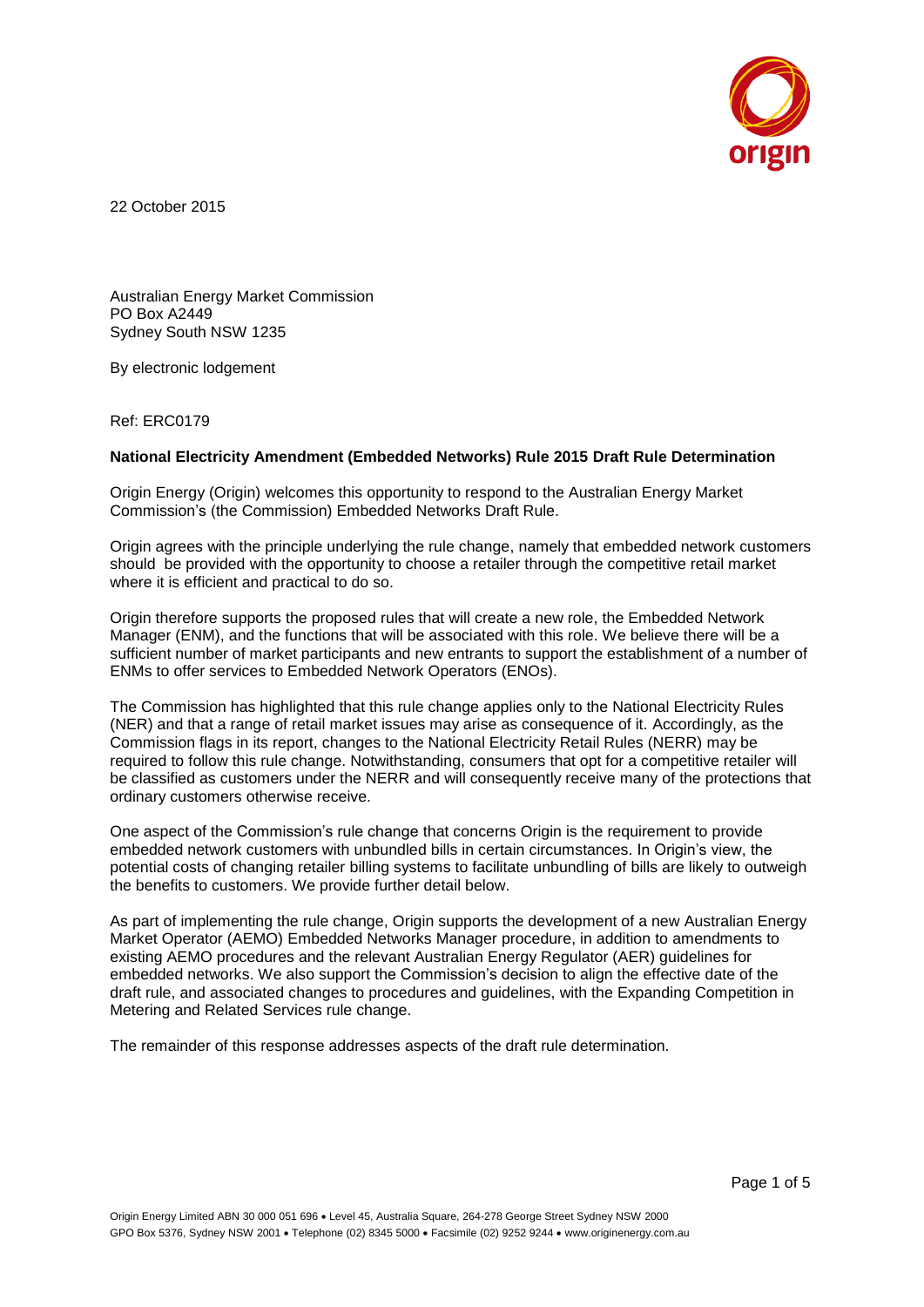

22 October 2015

Australian Energy Market Commission PO Box A2449 Sydney South NSW 1235

By electronic lodgement

Ref: ERC0179

#### **National Electricity Amendment (Embedded Networks) Rule 2015 Draft Rule Determination**

Origin Energy (Origin) welcomes this opportunity to respond to the Australian Energy Market Commission's (the Commission) Embedded Networks Draft Rule.

Origin agrees with the principle underlying the rule change, namely that embedded network customers should be provided with the opportunity to choose a retailer through the competitive retail market where it is efficient and practical to do so.

Origin therefore supports the proposed rules that will create a new role, the Embedded Network Manager (ENM), and the functions that will be associated with this role. We believe there will be a sufficient number of market participants and new entrants to support the establishment of a number of ENMs to offer services to Embedded Network Operators (ENOs).

The Commission has highlighted that this rule change applies only to the National Electricity Rules (NER) and that a range of retail market issues may arise as consequence of it. Accordingly, as the Commission flags in its report, changes to the National Electricity Retail Rules (NERR) may be required to follow this rule change. Notwithstanding, consumers that opt for a competitive retailer will be classified as customers under the NERR and will consequently receive many of the protections that ordinary customers otherwise receive.

One aspect of the Commission's rule change that concerns Origin is the requirement to provide embedded network customers with unbundled bills in certain circumstances. In Origin's view, the potential costs of changing retailer billing systems to facilitate unbundling of bills are likely to outweigh the benefits to customers. We provide further detail below.

As part of implementing the rule change, Origin supports the development of a new Australian Energy Market Operator (AEMO) Embedded Networks Manager procedure, in addition to amendments to existing AEMO procedures and the relevant Australian Energy Regulator (AER) guidelines for embedded networks. We also support the Commission's decision to align the effective date of the draft rule, and associated changes to procedures and guidelines, with the Expanding Competition in Metering and Related Services rule change.

The remainder of this response addresses aspects of the draft rule determination.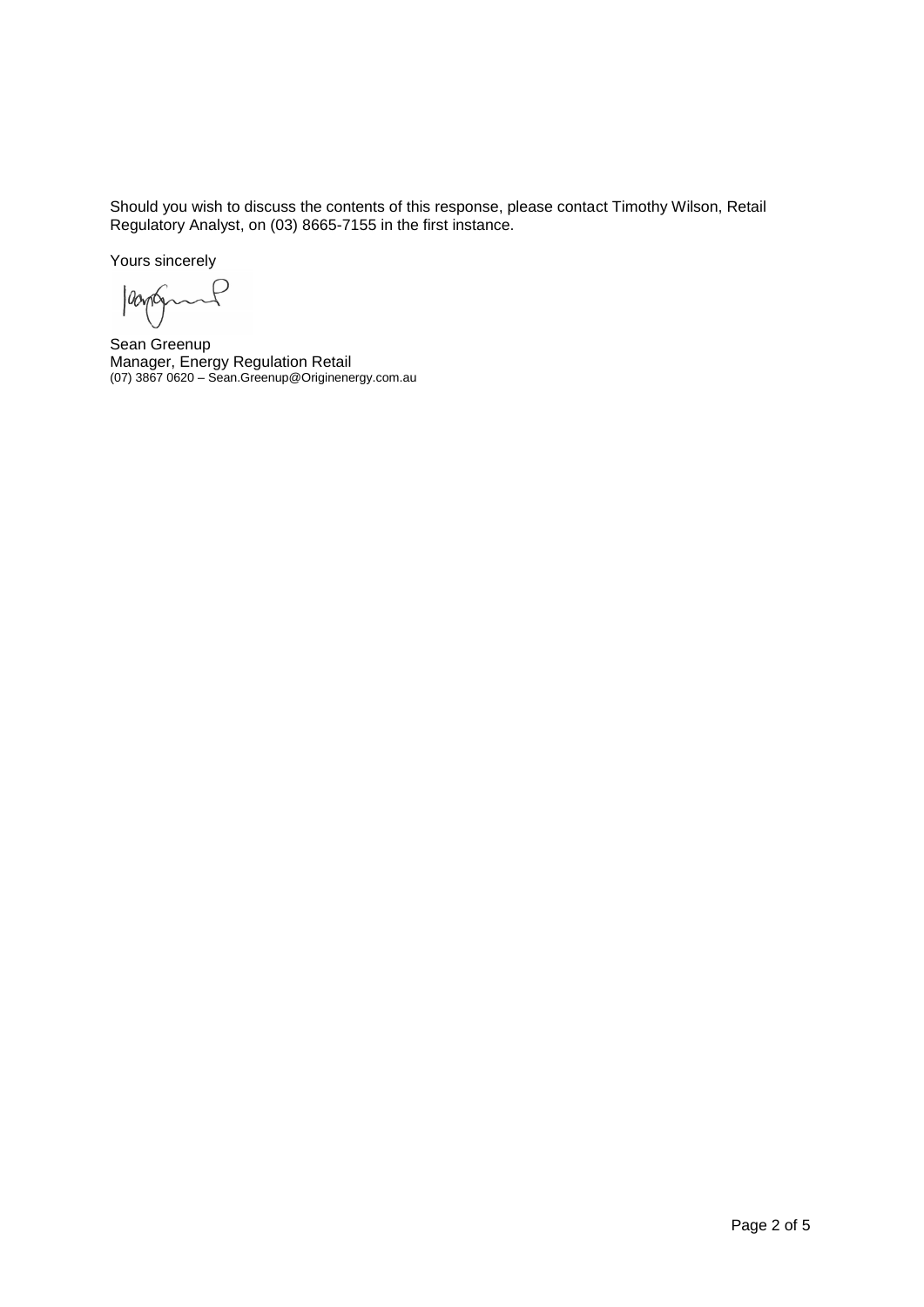Should you wish to discuss the contents of this response, please contact Timothy Wilson, Retail Regulatory Analyst, on (03) 8665-7155 in the first instance.

Yours sincerely

loopten  $\sim$ P

Sean Greenup Manager, Energy Regulation Retail (07) 3867 0620 – Sean.Greenup@Originenergy.com.au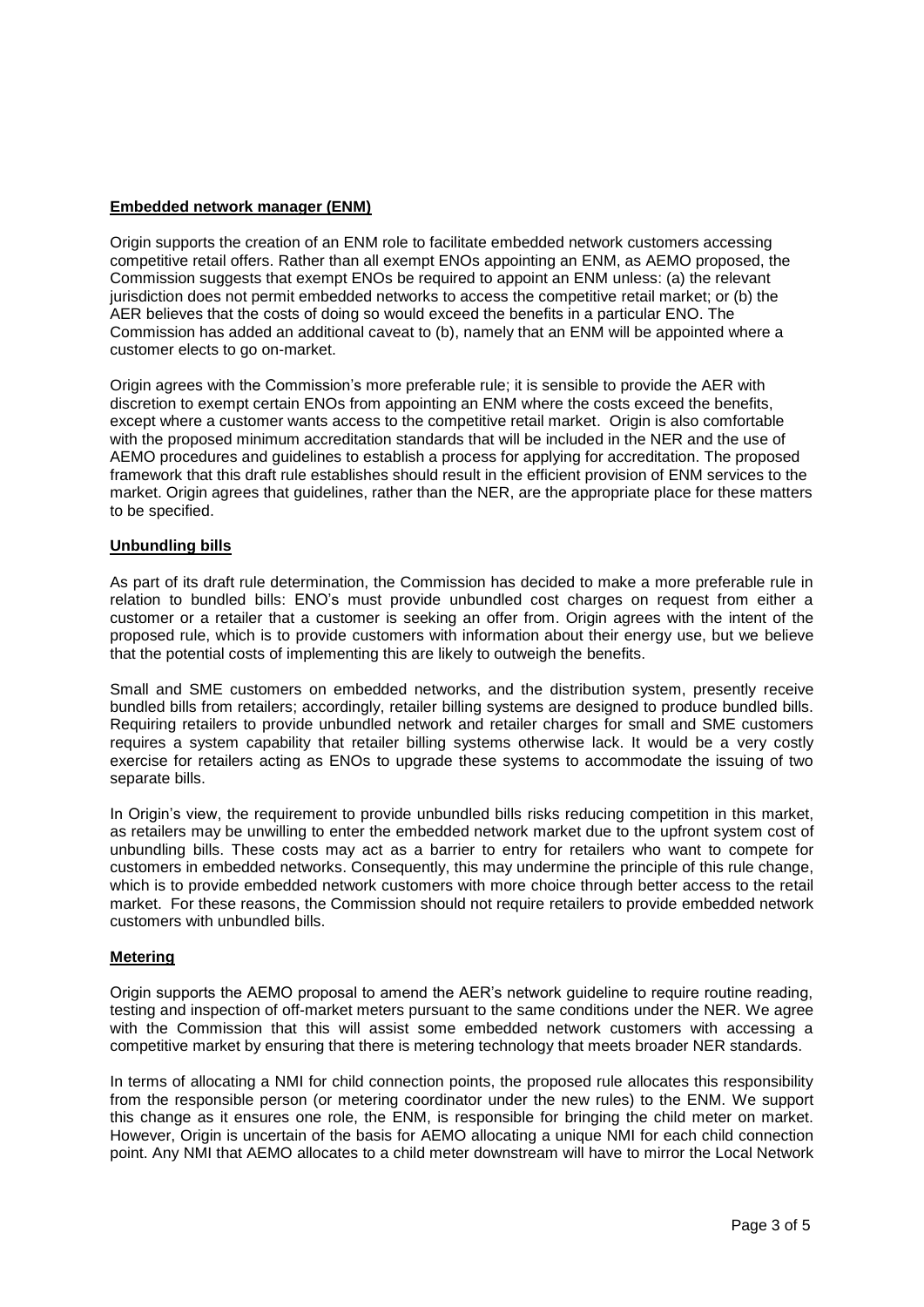## **Embedded network manager (ENM)**

Origin supports the creation of an ENM role to facilitate embedded network customers accessing competitive retail offers. Rather than all exempt ENOs appointing an ENM, as AEMO proposed, the Commission suggests that exempt ENOs be required to appoint an ENM unless: (a) the relevant jurisdiction does not permit embedded networks to access the competitive retail market; or (b) the AER believes that the costs of doing so would exceed the benefits in a particular ENO. The Commission has added an additional caveat to (b), namely that an ENM will be appointed where a customer elects to go on-market.

Origin agrees with the Commission's more preferable rule; it is sensible to provide the AER with discretion to exempt certain ENOs from appointing an ENM where the costs exceed the benefits, except where a customer wants access to the competitive retail market. Origin is also comfortable with the proposed minimum accreditation standards that will be included in the NER and the use of AEMO procedures and guidelines to establish a process for applying for accreditation. The proposed framework that this draft rule establishes should result in the efficient provision of ENM services to the market. Origin agrees that guidelines, rather than the NER, are the appropriate place for these matters to be specified.

### **Unbundling bills**

As part of its draft rule determination, the Commission has decided to make a more preferable rule in relation to bundled bills: ENO's must provide unbundled cost charges on request from either a customer or a retailer that a customer is seeking an offer from. Origin agrees with the intent of the proposed rule, which is to provide customers with information about their energy use, but we believe that the potential costs of implementing this are likely to outweigh the benefits.

Small and SME customers on embedded networks, and the distribution system, presently receive bundled bills from retailers; accordingly, retailer billing systems are designed to produce bundled bills. Requiring retailers to provide unbundled network and retailer charges for small and SME customers requires a system capability that retailer billing systems otherwise lack. It would be a very costly exercise for retailers acting as ENOs to upgrade these systems to accommodate the issuing of two separate bills.

In Origin's view, the requirement to provide unbundled bills risks reducing competition in this market, as retailers may be unwilling to enter the embedded network market due to the upfront system cost of unbundling bills. These costs may act as a barrier to entry for retailers who want to compete for customers in embedded networks. Consequently, this may undermine the principle of this rule change, which is to provide embedded network customers with more choice through better access to the retail market. For these reasons, the Commission should not require retailers to provide embedded network customers with unbundled bills.

# **Metering**

Origin supports the AEMO proposal to amend the AER's network guideline to require routine reading, testing and inspection of off-market meters pursuant to the same conditions under the NER. We agree with the Commission that this will assist some embedded network customers with accessing a competitive market by ensuring that there is metering technology that meets broader NER standards.

In terms of allocating a NMI for child connection points, the proposed rule allocates this responsibility from the responsible person (or metering coordinator under the new rules) to the ENM. We support this change as it ensures one role, the ENM, is responsible for bringing the child meter on market. However, Origin is uncertain of the basis for AEMO allocating a unique NMI for each child connection point. Any NMI that AEMO allocates to a child meter downstream will have to mirror the Local Network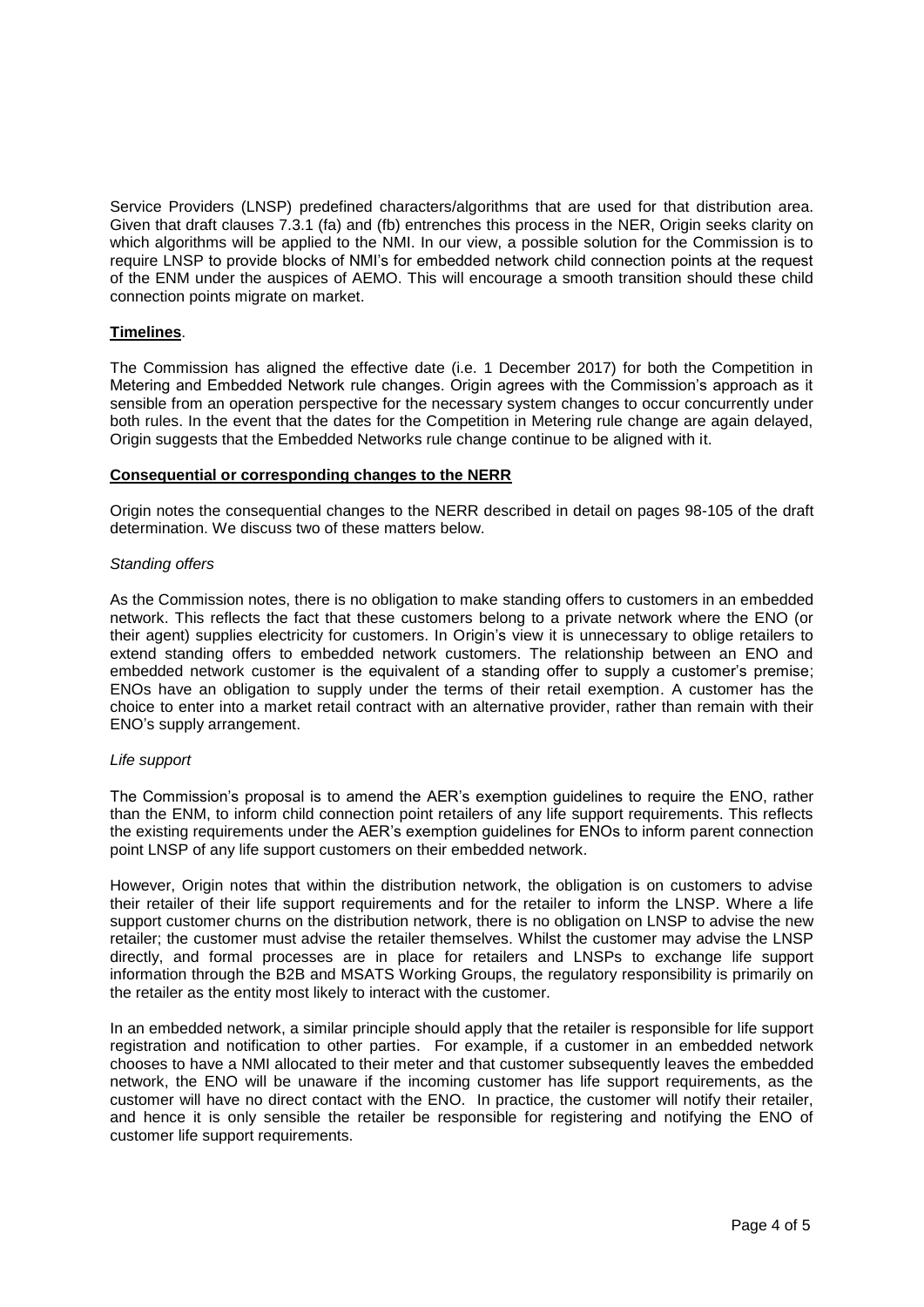Service Providers (LNSP) predefined characters/algorithms that are used for that distribution area. Given that draft clauses 7.3.1 (fa) and (fb) entrenches this process in the NER, Origin seeks clarity on which algorithms will be applied to the NMI. In our view, a possible solution for the Commission is to require LNSP to provide blocks of NMI's for embedded network child connection points at the request of the ENM under the auspices of AEMO. This will encourage a smooth transition should these child connection points migrate on market.

## **Timelines**.

The Commission has aligned the effective date (i.e. 1 December 2017) for both the Competition in Metering and Embedded Network rule changes. Origin agrees with the Commission's approach as it sensible from an operation perspective for the necessary system changes to occur concurrently under both rules. In the event that the dates for the Competition in Metering rule change are again delayed, Origin suggests that the Embedded Networks rule change continue to be aligned with it.

### **Consequential or corresponding changes to the NERR**

Origin notes the consequential changes to the NERR described in detail on pages 98-105 of the draft determination. We discuss two of these matters below.

### *Standing offers*

As the Commission notes, there is no obligation to make standing offers to customers in an embedded network. This reflects the fact that these customers belong to a private network where the ENO (or their agent) supplies electricity for customers. In Origin's view it is unnecessary to oblige retailers to extend standing offers to embedded network customers. The relationship between an ENO and embedded network customer is the equivalent of a standing offer to supply a customer's premise; ENOs have an obligation to supply under the terms of their retail exemption. A customer has the choice to enter into a market retail contract with an alternative provider, rather than remain with their ENO's supply arrangement.

### *Life support*

The Commission's proposal is to amend the AER's exemption guidelines to require the ENO, rather than the ENM, to inform child connection point retailers of any life support requirements. This reflects the existing requirements under the AER's exemption guidelines for ENOs to inform parent connection point LNSP of any life support customers on their embedded network.

However, Origin notes that within the distribution network, the obligation is on customers to advise their retailer of their life support requirements and for the retailer to inform the LNSP. Where a life support customer churns on the distribution network, there is no obligation on LNSP to advise the new retailer; the customer must advise the retailer themselves. Whilst the customer may advise the LNSP directly, and formal processes are in place for retailers and LNSPs to exchange life support information through the B2B and MSATS Working Groups, the regulatory responsibility is primarily on the retailer as the entity most likely to interact with the customer.

In an embedded network, a similar principle should apply that the retailer is responsible for life support registration and notification to other parties. For example, if a customer in an embedded network chooses to have a NMI allocated to their meter and that customer subsequently leaves the embedded network, the ENO will be unaware if the incoming customer has life support requirements, as the customer will have no direct contact with the ENO. In practice, the customer will notify their retailer, and hence it is only sensible the retailer be responsible for registering and notifying the ENO of customer life support requirements.